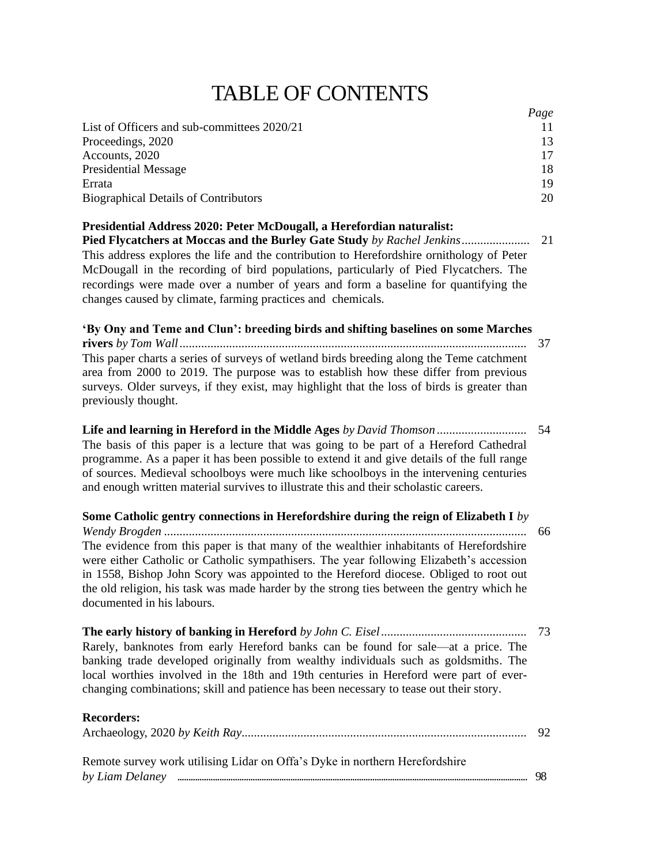## TABLE OF CONTENTS

|                                                                                                                                                                                                                                                                                                                                                                                                                                                                                             | Page     |
|---------------------------------------------------------------------------------------------------------------------------------------------------------------------------------------------------------------------------------------------------------------------------------------------------------------------------------------------------------------------------------------------------------------------------------------------------------------------------------------------|----------|
| List of Officers and sub-committees 2020/21                                                                                                                                                                                                                                                                                                                                                                                                                                                 | 11       |
| Proceedings, 2020                                                                                                                                                                                                                                                                                                                                                                                                                                                                           | 13       |
| Accounts, 2020                                                                                                                                                                                                                                                                                                                                                                                                                                                                              | 17       |
| <b>Presidential Message</b><br>Errata                                                                                                                                                                                                                                                                                                                                                                                                                                                       | 18<br>19 |
| <b>Biographical Details of Contributors</b>                                                                                                                                                                                                                                                                                                                                                                                                                                                 | 20       |
|                                                                                                                                                                                                                                                                                                                                                                                                                                                                                             |          |
| Presidential Address 2020: Peter McDougall, a Herefordian naturalist:<br>Pied Flycatchers at Moccas and the Burley Gate Study by Rachel Jenkins<br>This address explores the life and the contribution to Herefordshire ornithology of Peter<br>McDougall in the recording of bird populations, particularly of Pied Flycatchers. The<br>recordings were made over a number of years and form a baseline for quantifying the<br>changes caused by climate, farming practices and chemicals. | 21       |
| 'By Ony and Teme and Clun': breeding birds and shifting baselines on some Marches                                                                                                                                                                                                                                                                                                                                                                                                           |          |
| This paper charts a series of surveys of wetland birds breeding along the Teme catchment<br>area from 2000 to 2019. The purpose was to establish how these differ from previous<br>surveys. Older surveys, if they exist, may highlight that the loss of birds is greater than<br>previously thought.                                                                                                                                                                                       |          |
| The basis of this paper is a lecture that was going to be part of a Hereford Cathedral<br>programme. As a paper it has been possible to extend it and give details of the full range<br>of sources. Medieval schoolboys were much like schoolboys in the intervening centuries<br>and enough written material survives to illustrate this and their scholastic careers.                                                                                                                     | 54       |
| Some Catholic gentry connections in Herefordshire during the reign of Elizabeth I by                                                                                                                                                                                                                                                                                                                                                                                                        |          |
| The evidence from this paper is that many of the wealthier inhabitants of Herefordshire<br>were either Catholic or Catholic sympathisers. The year following Elizabeth's accession<br>in 1558, Bishop John Scory was appointed to the Hereford diocese. Obliged to root out<br>the old religion, his task was made harder by the strong ties between the gentry which he<br>documented in his labours.                                                                                      | 66       |
| Rarely, banknotes from early Hereford banks can be found for sale—at a price. The<br>banking trade developed originally from wealthy individuals such as goldsmiths. The<br>local worthies involved in the 18th and 19th centuries in Hereford were part of ever-<br>changing combinations; skill and patience has been necessary to tease out their story.                                                                                                                                 | 73       |
| <b>Recorders:</b>                                                                                                                                                                                                                                                                                                                                                                                                                                                                           | 92       |
| Remote survey work utilising Lidar on Offa's Dyke in northern Herefordshire                                                                                                                                                                                                                                                                                                                                                                                                                 |          |

*by Liam Delaney* .............................................................................................................................................................. 98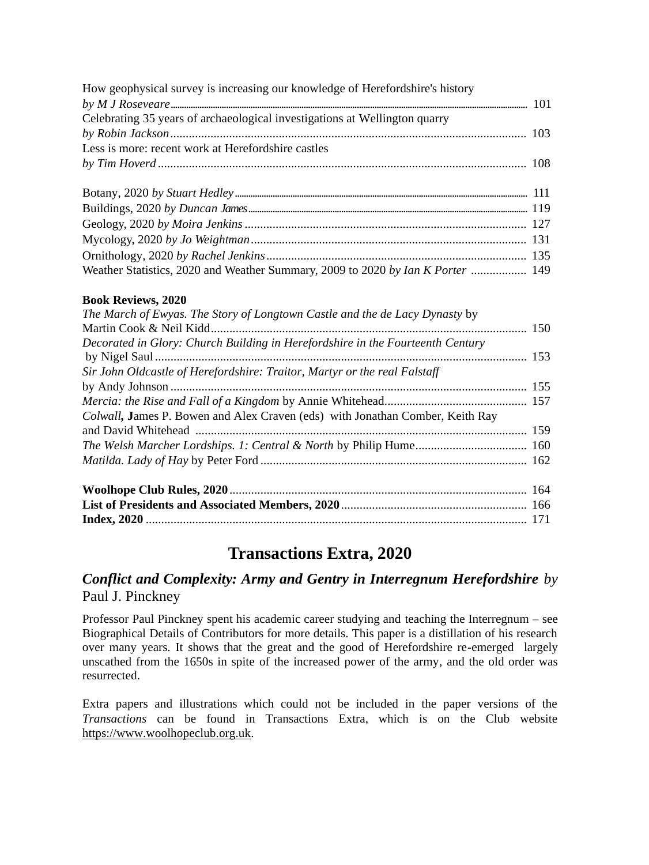| How geophysical survey is increasing our knowledge of Herefordshire's history   |  |
|---------------------------------------------------------------------------------|--|
|                                                                                 |  |
| Celebrating 35 years of archaeological investigations at Wellington quarry      |  |
|                                                                                 |  |
| Less is more: recent work at Herefordshire castles                              |  |
|                                                                                 |  |
|                                                                                 |  |
|                                                                                 |  |
|                                                                                 |  |
|                                                                                 |  |
|                                                                                 |  |
|                                                                                 |  |
| Weather Statistics, 2020 and Weather Summary, 2009 to 2020 by Ian K Porter  149 |  |

#### **Book Reviews, 2020**

| The March of Ewyas. The Story of Longtown Castle and the de Lacy Dynasty by    |  |  |  |  |
|--------------------------------------------------------------------------------|--|--|--|--|
|                                                                                |  |  |  |  |
| Decorated in Glory: Church Building in Herefordshire in the Fourteenth Century |  |  |  |  |
| Sir John Oldcastle of Herefordshire: Traitor, Martyr or the real Falstaff      |  |  |  |  |
|                                                                                |  |  |  |  |
|                                                                                |  |  |  |  |
| Colwall, James P. Bowen and Alex Craven (eds) with Jonathan Comber, Keith Ray  |  |  |  |  |
|                                                                                |  |  |  |  |
|                                                                                |  |  |  |  |
|                                                                                |  |  |  |  |
|                                                                                |  |  |  |  |
|                                                                                |  |  |  |  |
|                                                                                |  |  |  |  |

### **Transactions Extra, 2020**

### *Conflict and Complexity: Army and Gentry in Interregnum Herefordshire by* Paul J. Pinckney

Professor Paul Pinckney spent his academic career studying and teaching the Interregnum – see Biographical Details of Contributors for more details. This paper is a distillation of his research over many years. It shows that the great and the good of Herefordshire re-emerged largely unscathed from the 1650s in spite of the increased power of the army, and the old order was resurrected.

Extra papers and illustrations which could not be included in the paper versions of the *Transactions* can be found in Transactions Extra, which is on the Club website [https://www.woolhopeclub.org](http://www.woolhopeclub.org.uk/).uk.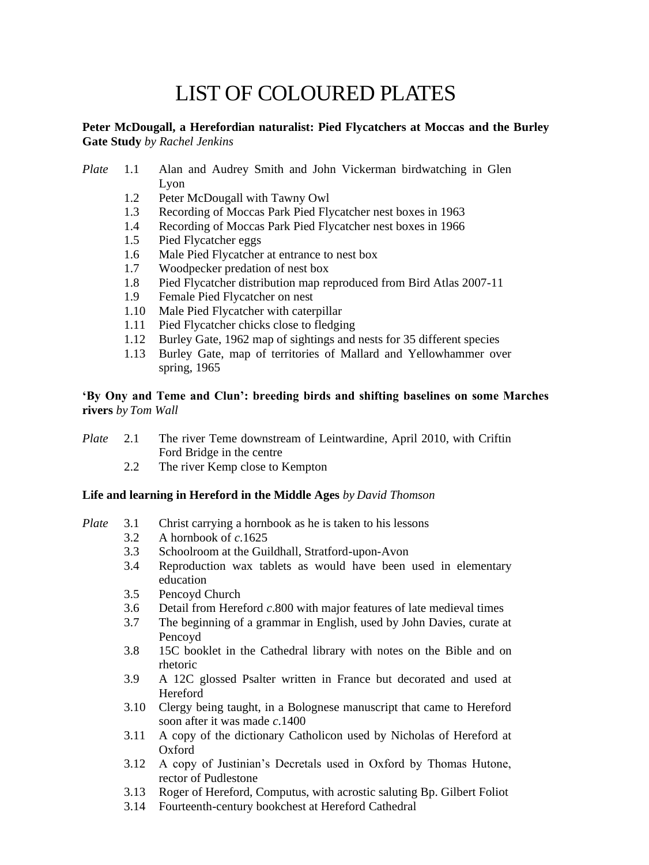# LIST OF COLOURED PLATES

#### **Peter McDougall, a Herefordian naturalist: Pied Flycatchers at Moccas and the Burley Gate Study** *by Rachel Jenkins*

- *Plate* 1.1 Alan and Audrey Smith and John Vickerman birdwatching in Glen Lyon
	- 1.2 Peter McDougall with Tawny Owl
	- 1.3 Recording of Moccas Park Pied Flycatcher nest boxes in 1963
	- 1.4 Recording of Moccas Park Pied Flycatcher nest boxes in 1966
	- 1.5 Pied Flycatcher eggs
	- 1.6 Male Pied Flycatcher at entrance to nest box
	- 1.7 Woodpecker predation of nest box
	- 1.8 Pied Flycatcher distribution map reproduced from Bird Atlas 2007-11
	- 1.9 Female Pied Flycatcher on nest
	- 1.10 Male Pied Flycatcher with caterpillar
	- 1.11 Pied Flycatcher chicks close to fledging
	- 1.12 Burley Gate, 1962 map of sightings and nests for 35 different species
	- 1.13 Burley Gate, map of territories of Mallard and Yellowhammer over spring, 1965

#### **'By Ony and Teme and Clun': breeding birds and shifting baselines on some Marches rivers** *by Tom Wall*

- *Plate* 2.1 The river Teme downstream of Leintwardine, April 2010, with Criftin Ford Bridge in the centre
	- 2.2 The river Kemp close to Kempton

#### **Life and learning in Hereford in the Middle Ages** *by David Thomson*

- *Plate* 3.1 Christ carrying a hornbook as he is taken to his lessons
	- 3.2 A hornbook of *c*.1625
	- 3.3 Schoolroom at the Guildhall, Stratford-upon-Avon
	- 3.4 Reproduction wax tablets as would have been used in elementary education
	- 3.5 Pencoyd Church
	- 3.6 Detail from Hereford *c*.800 with major features of late medieval times
	- 3.7 The beginning of a grammar in English, used by John Davies, curate at Pencoyd
	- 3.8 15C booklet in the Cathedral library with notes on the Bible and on rhetoric
	- 3.9 A 12C glossed Psalter written in France but decorated and used at Hereford
	- 3.10 Clergy being taught, in a Bolognese manuscript that came to Hereford soon after it was made *c*.1400
	- 3.11 A copy of the dictionary Catholicon used by Nicholas of Hereford at Oxford
	- 3.12 A copy of Justinian's Decretals used in Oxford by Thomas Hutone, rector of Pudlestone
	- 3.13 Roger of Hereford, Computus, with acrostic saluting Bp. Gilbert Foliot
	- 3.14 Fourteenth-century bookchest at Hereford Cathedral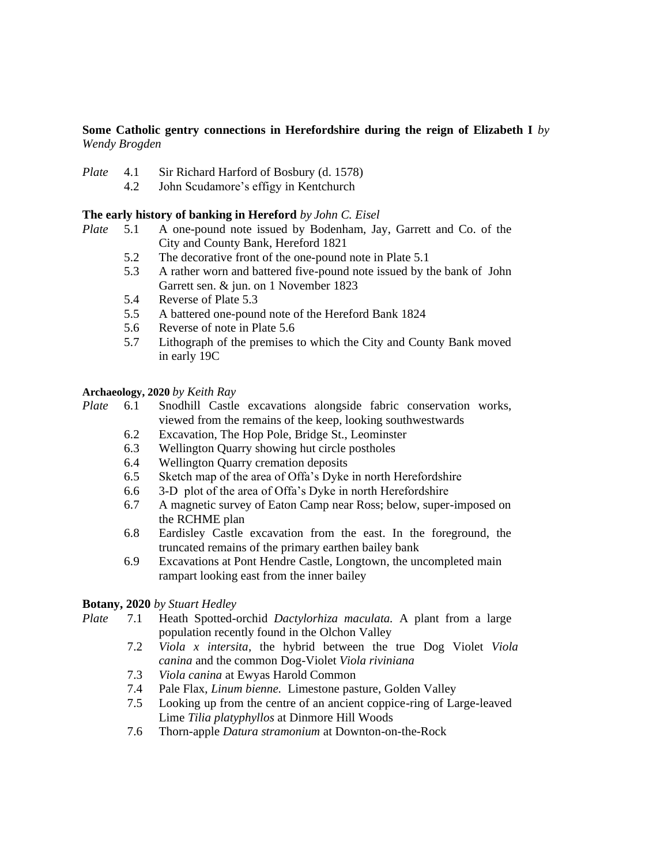#### **Some Catholic gentry connections in Herefordshire during the reign of Elizabeth I** *by Wendy Brogden*

- *Plate* 4.1 Sir Richard Harford of Bosbury (d. 1578)
	- 4.2 John Scudamore's effigy in Kentchurch

#### **The early history of banking in Hereford** *by John C. Eisel*

- *Plate* 5.1 A one-pound note issued by Bodenham, Jay, Garrett and Co. of the City and County Bank, Hereford 1821
	- 5.2 The decorative front of the one-pound note in Plate 5.1
	- 5.3 A rather worn and battered five-pound note issued by the bank of John Garrett sen. & jun. on 1 November 1823
	- 5.4 Reverse of Plate 5.3
	- 5.5 A battered one-pound note of the Hereford Bank 1824
	- 5.6 Reverse of note in Plate 5.6
	- 5.7 Lithograph of the premises to which the City and County Bank moved in early 19C

#### **Archaeology, 2020** *by Keith Ray*

*Plate* 6.1 Snodhill Castle excavations alongside fabric conservation works, viewed from the remains of the keep, looking southwestwards

- 6.2 Excavation, The Hop Pole, Bridge St., Leominster
- 6.3 Wellington Quarry showing hut circle postholes
- 6.4 Wellington Quarry cremation deposits
- 6.5 Sketch map of the area of Offa's Dyke in north Herefordshire
- 6.6 3-D plot of the area of Offa's Dyke in north Herefordshire
- 6.7 A magnetic survey of Eaton Camp near Ross; below, super-imposed on the RCHME plan
- 6.8 Eardisley Castle excavation from the east. In the foreground, the truncated remains of the primary earthen bailey bank
- 6.9 Excavations at Pont Hendre Castle, Longtown, the uncompleted main rampart looking east from the inner bailey

#### **Botany, 2020** *by Stuart Hedley*

- *Plate* 7.1 Heath Spotted-orchid *Dactylorhiza maculata.* A plant from a large population recently found in the Olchon Valley
	- 7.2 *Viola x intersita*, the hybrid between the true Dog Violet *Viola canina* and the common Dog-Violet *Viola riviniana*
	- 7.3 *Viola canina* at Ewyas Harold Common
	- 7.4 Pale Flax, *Linum bienne.* Limestone pasture, Golden Valley
	- 7.5 Looking up from the centre of an ancient coppice-ring of Large-leaved Lime *Tilia platyphyllos* at Dinmore Hill Woods
	- 7.6 Thorn-apple *Datura stramonium* at Downton-on-the-Rock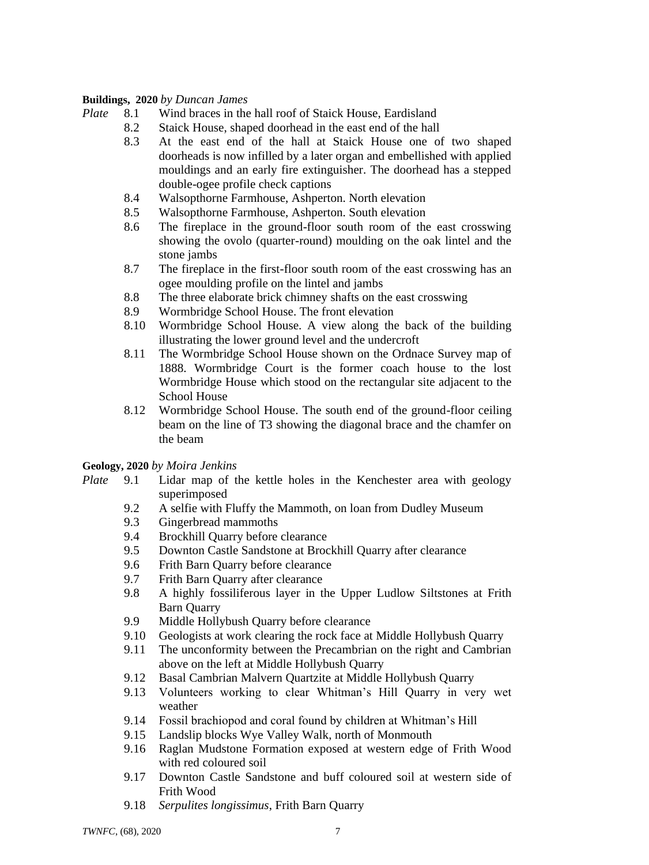#### **Buildings, 2020** *by Duncan James*

- *Plate* 8.1 Wind braces in the hall roof of Staick House, Eardisland
	- 8.2 Staick House, shaped doorhead in the east end of the hall
	- 8.3 At the east end of the hall at Staick House one of two shaped doorheads is now infilled by a later organ and embellished with applied mouldings and an early fire extinguisher. The doorhead has a stepped double-ogee profile check captions
	- 8.4 Walsopthorne Farmhouse, Ashperton. North elevation
	- 8.5 Walsopthorne Farmhouse, Ashperton. South elevation
	- 8.6 The fireplace in the ground-floor south room of the east crosswing showing the ovolo (quarter-round) moulding on the oak lintel and the stone jambs
	- 8.7 The fireplace in the first-floor south room of the east crosswing has an ogee moulding profile on the lintel and jambs
	- 8.8 The three elaborate brick chimney shafts on the east crosswing
	- 8.9 Wormbridge School House. The front elevation
	- 8.10 Wormbridge School House. A view along the back of the building illustrating the lower ground level and the undercroft
	- 8.11 The Wormbridge School House shown on the Ordnace Survey map of 1888. Wormbridge Court is the former coach house to the lost Wormbridge House which stood on the rectangular site adjacent to the School House
	- 8.12 Wormbridge School House. The south end of the ground-floor ceiling beam on the line of T3 showing the diagonal brace and the chamfer on the beam

#### **Geology, 2020** *by Moira Jenkins*

- *Plate* 9.1 Lidar map of the kettle holes in the Kenchester area with geology superimposed
	- 9.2 A selfie with Fluffy the Mammoth, on loan from Dudley Museum
	- 9.3 Gingerbread mammoths
	- 9.4 Brockhill Quarry before clearance
	- 9.5 Downton Castle Sandstone at Brockhill Quarry after clearance
	- 9.6 Frith Barn Quarry before clearance
	- 9.7 Frith Barn Quarry after clearance
	- 9.8 A highly fossiliferous layer in the Upper Ludlow Siltstones at Frith Barn Quarry
	- 9.9 Middle Hollybush Quarry before clearance
	- 9.10 Geologists at work clearing the rock face at Middle Hollybush Quarry
	- 9.11 The unconformity between the Precambrian on the right and Cambrian above on the left at Middle Hollybush Quarry
	- 9.12 Basal Cambrian Malvern Quartzite at Middle Hollybush Quarry
	- 9.13 Volunteers working to clear Whitman's Hill Quarry in very wet weather
	- 9.14 Fossil brachiopod and coral found by children at Whitman's Hill
	- 9.15 Landslip blocks Wye Valley Walk, north of Monmouth
	- 9.16 Raglan Mudstone Formation exposed at western edge of Frith Wood with red coloured soil
	- 9.17 Downton Castle Sandstone and buff coloured soil at western side of Frith Wood
	- 9.18 *Serpulites longissimus*, Frith Barn Quarry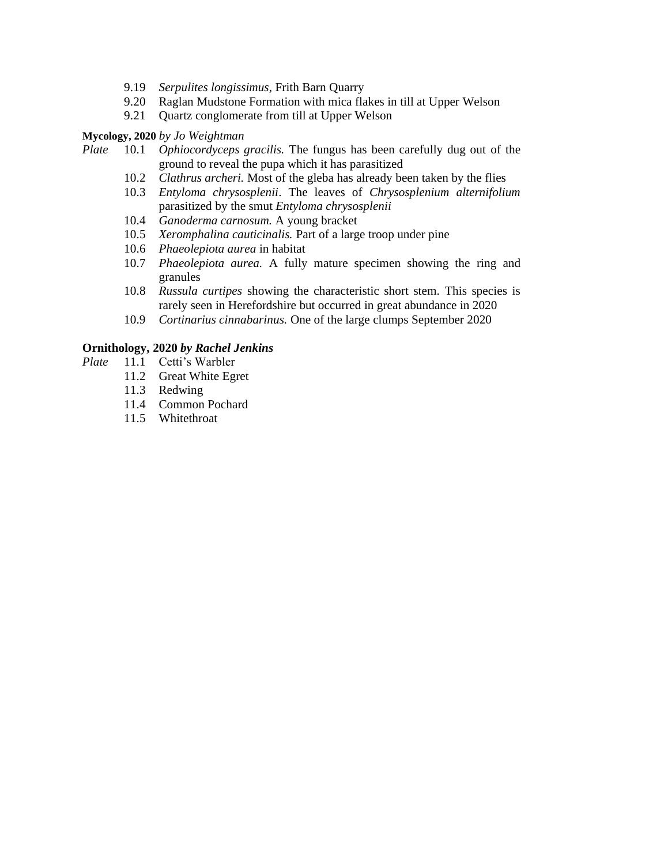- 9.19 *Serpulites longissimus*, Frith Barn Quarry
- 9.20 Raglan Mudstone Formation with mica flakes in till at Upper Welson
- 9.21 Quartz conglomerate from till at Upper Welson

#### **Mycology, 2020** *by Jo Weightman*

- *Plate* 10.1 *Ophiocordyceps gracilis.* The fungus has been carefully dug out of the ground to reveal the pupa which it has parasitized
	- 10.2 *Clathrus archeri.* Most of the gleba has already been taken by the flies
	- 10.3 *Entyloma chrysosplenii*. The leaves of *Chrysosplenium alternifolium*  parasitized by the smut *Entyloma chrysosplenii*
	- 10.4 *Ganoderma carnosum.* A young bracket
	- 10.5 *Xeromphalina cauticinalis.* Part of a large troop under pine
	- 10.6 *Phaeolepiota aurea* in habitat
	- 10.7 *Phaeolepiota aurea.* A fully mature specimen showing the ring and granules
	- 10.8 *Russula curtipes* showing the characteristic short stem. This species is rarely seen in Herefordshire but occurred in great abundance in 2020
	- 10.9 *Cortinarius cinnabarinus.* One of the large clumps September 2020

#### **Ornithology, 2020** *by Rachel Jenkins*

- *Plate* 11.1 Cetti's Warbler
	- 11.2 Great White Egret
	- 11.3 Redwing
	- 11.4 Common Pochard
	- 11.5 Whitethroat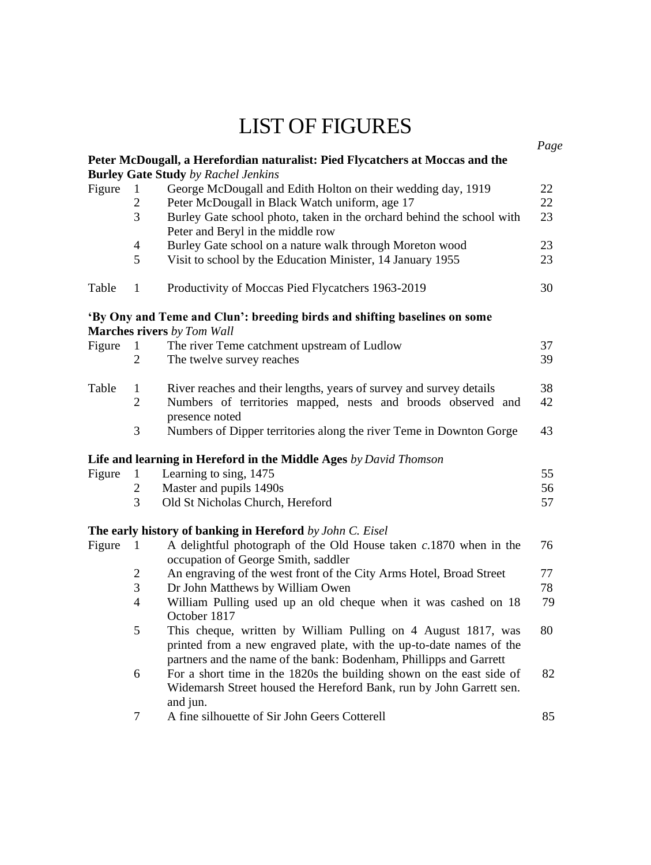## LIST OF FIGURES

|        |                |                                                                                                                                                                                                            | Page |
|--------|----------------|------------------------------------------------------------------------------------------------------------------------------------------------------------------------------------------------------------|------|
|        |                | Peter McDougall, a Herefordian naturalist: Pied Flycatchers at Moccas and the                                                                                                                              |      |
|        |                | <b>Burley Gate Study</b> by Rachel Jenkins                                                                                                                                                                 |      |
| Figure | 1              | George McDougall and Edith Holton on their wedding day, 1919                                                                                                                                               | 22   |
|        | 2              | Peter McDougall in Black Watch uniform, age 17                                                                                                                                                             | 22   |
|        | 3              | Burley Gate school photo, taken in the orchard behind the school with<br>Peter and Beryl in the middle row                                                                                                 | 23   |
|        | $\overline{4}$ | Burley Gate school on a nature walk through Moreton wood                                                                                                                                                   | 23   |
|        | 5              | Visit to school by the Education Minister, 14 January 1955                                                                                                                                                 | 23   |
| Table  | 1              | Productivity of Moccas Pied Flycatchers 1963-2019                                                                                                                                                          | 30   |
|        |                | 'By Ony and Teme and Clun': breeding birds and shifting baselines on some                                                                                                                                  |      |
|        |                | <b>Marches rivers</b> by Tom Wall                                                                                                                                                                          |      |
| Figure | 1              | The river Teme catchment upstream of Ludlow                                                                                                                                                                | 37   |
|        | $\overline{2}$ | The twelve survey reaches                                                                                                                                                                                  | 39   |
| Table  | 1              | River reaches and their lengths, years of survey and survey details                                                                                                                                        | 38   |
|        | $\overline{2}$ | Numbers of territories mapped, nests and broods observed and<br>presence noted                                                                                                                             | 42   |
|        | 3              | Numbers of Dipper territories along the river Teme in Downton Gorge                                                                                                                                        | 43   |
|        |                | Life and learning in Hereford in the Middle Ages by David Thomson                                                                                                                                          |      |
| Figure | 1              | Learning to sing, 1475                                                                                                                                                                                     | 55   |
|        | $\mathfrak{2}$ | Master and pupils 1490s                                                                                                                                                                                    | 56   |
|        | 3              | Old St Nicholas Church, Hereford                                                                                                                                                                           | 57   |
|        |                | The early history of banking in Hereford by John C. Eisel                                                                                                                                                  |      |
| Figure | 1              | A delightful photograph of the Old House taken $c.1870$ when in the<br>occupation of George Smith, saddler                                                                                                 | 76   |
|        | $\overline{c}$ | An engraving of the west front of the City Arms Hotel, Broad Street                                                                                                                                        | 77   |
|        | 3              | Dr John Matthews by William Owen                                                                                                                                                                           | 78   |
|        | $\overline{4}$ | William Pulling used up an old cheque when it was cashed on 18<br>October 1817                                                                                                                             | 79   |
|        | 5              | This cheque, written by William Pulling on 4 August 1817, was<br>printed from a new engraved plate, with the up-to-date names of the<br>partners and the name of the bank: Bodenham, Phillipps and Garrett | 80   |
|        | 6              | For a short time in the 1820s the building shown on the east side of<br>Widemarsh Street housed the Hereford Bank, run by John Garrett sen.<br>and jun.                                                    | 82   |
|        | 7              | A fine silhouette of Sir John Geers Cotterell                                                                                                                                                              | 85   |